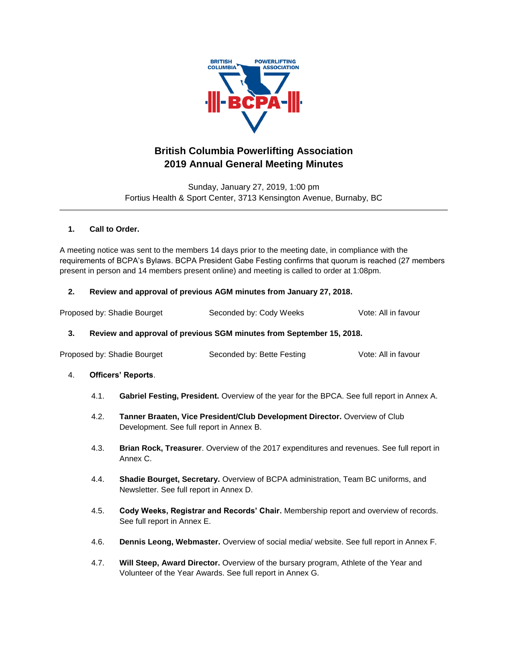

# **British Columbia Powerlifting Association 2019 Annual General Meeting Minutes**

Sunday, January 27, 2019, 1:00 pm Fortius Health & Sport Center, 3713 Kensington Avenue, Burnaby, BC

### **1. Call to Order.**

A meeting notice was sent to the members 14 days prior to the meeting date, in compliance with the requirements of BCPA's Bylaws. BCPA President Gabe Festing confirms that quorum is reached (27 members present in person and 14 members present online) and meeting is called to order at 1:08pm.

### **2. Review and approval of previous AGM minutes from January 27, 2018.**

| Proposed by: Shadie Bourget | Seconded by: Cody Weeks | Vote: All in favour |
|-----------------------------|-------------------------|---------------------|

## **3. Review and approval of previous SGM minutes from September 15, 2018.**

| Proposed by: Shadie Bourget | Seconded by: Bette Festing | Vote: All in favour |
|-----------------------------|----------------------------|---------------------|
|                             |                            |                     |

#### 4. **Officers' Reports**.

- 4.1. **Gabriel Festing, President.** Overview of the year for the BPCA. See full report in Annex A.
- 4.2. **Tanner Braaten, Vice President/Club Development Director.** Overview of Club Development. See full report in Annex B.
- 4.3. **Brian Rock, Treasurer**. Overview of the 2017 expenditures and revenues. See full report in Annex C.
- 4.4. **Shadie Bourget, Secretary.** Overview of BCPA administration, Team BC uniforms, and Newsletter. See full report in Annex D.
- 4.5. **Cody Weeks, Registrar and Records' Chair.** Membership report and overview of records. See full report in Annex E.
- 4.6. **Dennis Leong, Webmaster.** Overview of social media/ website. See full report in Annex F.
- 4.7. **Will Steep, Award Director.** Overview of the bursary program, Athlete of the Year and Volunteer of the Year Awards. See full report in Annex G.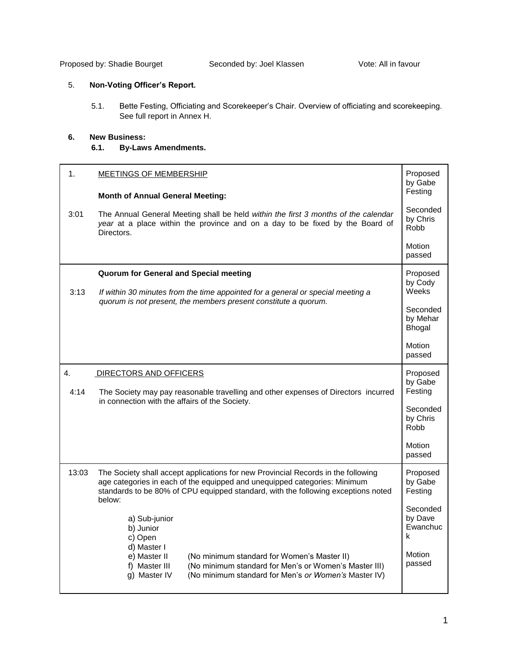Proposed by: Shadie Bourget Seconded by: Joel Klassen Vote: All in favour

## 5. **Non-Voting Officer's Report.**

5.1. Bette Festing, Officiating and Scorekeeper's Chair. Overview of officiating and scorekeeping. See full report in Annex H.

## **6. New Business:**

**6.1. By-Laws Amendments.**

| 1.    | <b>MEETINGS OF MEMBERSHIP</b>                                                                                                                                                                                                                                 |                                      |  |  |  |  |  |  |  |
|-------|---------------------------------------------------------------------------------------------------------------------------------------------------------------------------------------------------------------------------------------------------------------|--------------------------------------|--|--|--|--|--|--|--|
|       | <b>Month of Annual General Meeting:</b>                                                                                                                                                                                                                       | Festing                              |  |  |  |  |  |  |  |
| 3:01  | The Annual General Meeting shall be held within the first 3 months of the calendar<br>year at a place within the province and on a day to be fixed by the Board of<br>Directors.                                                                              |                                      |  |  |  |  |  |  |  |
|       |                                                                                                                                                                                                                                                               | Motion<br>passed                     |  |  |  |  |  |  |  |
| 3:13  | Quorum for General and Special meeting<br>If within 30 minutes from the time appointed for a general or special meeting a                                                                                                                                     |                                      |  |  |  |  |  |  |  |
|       | quorum is not present, the members present constitute a quorum.                                                                                                                                                                                               |                                      |  |  |  |  |  |  |  |
|       |                                                                                                                                                                                                                                                               | Motion<br>passed                     |  |  |  |  |  |  |  |
| 4.    | DIRECTORS AND OFFICERS                                                                                                                                                                                                                                        | Proposed<br>by Gabe                  |  |  |  |  |  |  |  |
| 4:14  | The Society may pay reasonable travelling and other expenses of Directors incurred<br>in connection with the affairs of the Society.                                                                                                                          | Festing                              |  |  |  |  |  |  |  |
|       |                                                                                                                                                                                                                                                               | Seconded<br>by Chris<br>Robb         |  |  |  |  |  |  |  |
|       |                                                                                                                                                                                                                                                               | Motion<br>passed                     |  |  |  |  |  |  |  |
| 13:03 | The Society shall accept applications for new Provincial Records in the following<br>age categories in each of the equipped and unequipped categories: Minimum<br>standards to be 80% of CPU equipped standard, with the following exceptions noted<br>below: | Proposed<br>by Gabe<br>Festing       |  |  |  |  |  |  |  |
|       | a) Sub-junior<br>b) Junior<br>c) Open<br>d) Master I                                                                                                                                                                                                          | Seconded<br>by Dave<br>Ewanchuc<br>k |  |  |  |  |  |  |  |
|       | e) Master II<br>(No minimum standard for Women's Master II)<br>f) Master III<br>(No minimum standard for Men's or Women's Master III)<br>g) Master IV<br>(No minimum standard for Men's or Women's Master IV)                                                 | Motion<br>passed                     |  |  |  |  |  |  |  |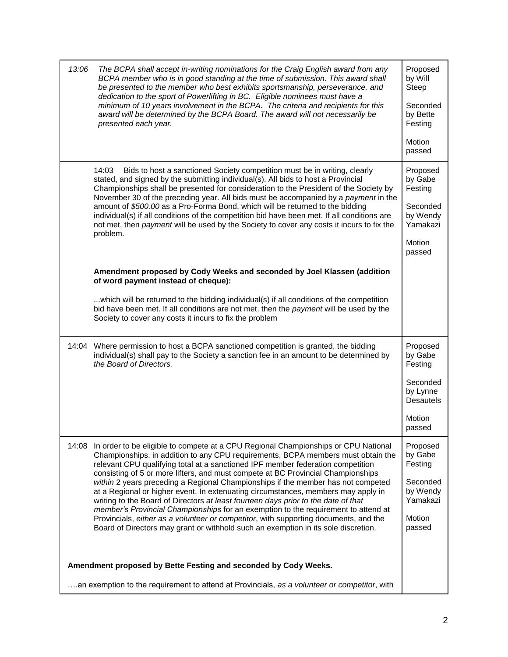| 13:06 | The BCPA shall accept in-writing nominations for the Craig English award from any<br>BCPA member who is in good standing at the time of submission. This award shall<br>be presented to the member who best exhibits sportsmanship, perseverance, and<br>dedication to the sport of Powerlifting in BC. Eligible nominees must have a<br>minimum of 10 years involvement in the BCPA. The criteria and recipients for this<br>award will be determined by the BCPA Board. The award will not necessarily be<br>presented each year.                                                                                                                                                                                                                                                                                                                                              | Proposed<br>by Will<br>Steep<br>Seconded<br>by Bette<br>Festing<br>Motion<br>passed            |
|-------|----------------------------------------------------------------------------------------------------------------------------------------------------------------------------------------------------------------------------------------------------------------------------------------------------------------------------------------------------------------------------------------------------------------------------------------------------------------------------------------------------------------------------------------------------------------------------------------------------------------------------------------------------------------------------------------------------------------------------------------------------------------------------------------------------------------------------------------------------------------------------------|------------------------------------------------------------------------------------------------|
|       | Bids to host a sanctioned Society competition must be in writing, clearly<br>14:03<br>stated, and signed by the submitting individual(s). All bids to host a Provincial<br>Championships shall be presented for consideration to the President of the Society by<br>November 30 of the preceding year. All bids must be accompanied by a payment in the<br>amount of \$500.00 as a Pro-Forma Bond, which will be returned to the bidding<br>individual(s) if all conditions of the competition bid have been met. If all conditions are<br>not met, then payment will be used by the Society to cover any costs it incurs to fix the<br>problem.                                                                                                                                                                                                                                 | Proposed<br>by Gabe<br>Festing<br>Seconded<br>by Wendy<br>Yamakazi<br>Motion<br>passed         |
|       | Amendment proposed by Cody Weeks and seconded by Joel Klassen (addition<br>of word payment instead of cheque):<br>which will be returned to the bidding individual(s) if all conditions of the competition<br>bid have been met. If all conditions are not met, then the payment will be used by the<br>Society to cover any costs it incurs to fix the problem                                                                                                                                                                                                                                                                                                                                                                                                                                                                                                                  |                                                                                                |
| 14:04 | Where permission to host a BCPA sanctioned competition is granted, the bidding<br>individual(s) shall pay to the Society a sanction fee in an amount to be determined by<br>the Board of Directors.                                                                                                                                                                                                                                                                                                                                                                                                                                                                                                                                                                                                                                                                              | Proposed<br>by Gabe<br>Festing<br>Seconded<br>by Lynne<br><b>Desautels</b><br>Motion<br>passed |
| 14:08 | In order to be eligible to compete at a CPU Regional Championships or CPU National<br>Championships, in addition to any CPU requirements, BCPA members must obtain the<br>relevant CPU qualifying total at a sanctioned IPF member federation competition<br>consisting of 5 or more lifters, and must compete at BC Provincial Championships<br>within 2 years preceding a Regional Championships if the member has not competed<br>at a Regional or higher event. In extenuating circumstances, members may apply in<br>writing to the Board of Directors at least fourteen days prior to the date of that<br>member's Provincial Championships for an exemption to the requirement to attend at<br>Provincials, either as a volunteer or competitor, with supporting documents, and the<br>Board of Directors may grant or withhold such an exemption in its sole discretion. | Proposed<br>by Gabe<br>Festing<br>Seconded<br>by Wendy<br>Yamakazi<br>Motion<br>passed         |
|       | Amendment proposed by Bette Festing and seconded by Cody Weeks.                                                                                                                                                                                                                                                                                                                                                                                                                                                                                                                                                                                                                                                                                                                                                                                                                  |                                                                                                |
|       | an exemption to the requirement to attend at Provincials, as a volunteer or competitor, with                                                                                                                                                                                                                                                                                                                                                                                                                                                                                                                                                                                                                                                                                                                                                                                     |                                                                                                |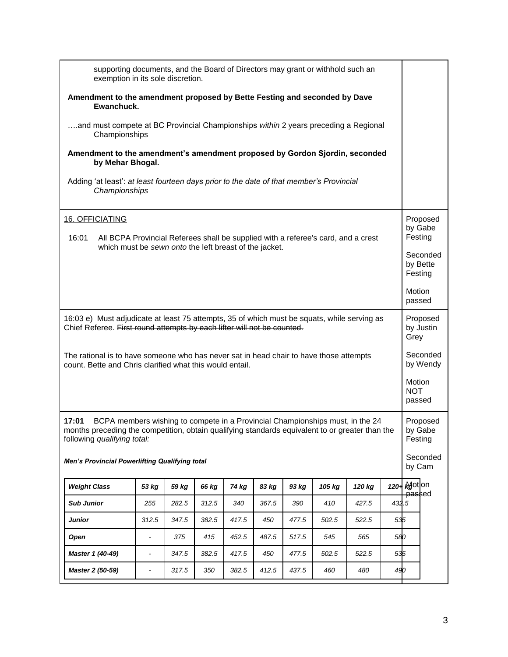| supporting documents, and the Board of Directors may grant or withhold such an<br>exemption in its sole discretion.                                                                                                      |                                                                                                          |       |       |       |       |       |        |        |         |                                |                       |
|--------------------------------------------------------------------------------------------------------------------------------------------------------------------------------------------------------------------------|----------------------------------------------------------------------------------------------------------|-------|-------|-------|-------|-------|--------|--------|---------|--------------------------------|-----------------------|
| Amendment to the amendment proposed by Bette Festing and seconded by Dave<br>Ewanchuck.                                                                                                                                  |                                                                                                          |       |       |       |       |       |        |        |         |                                |                       |
| and must compete at BC Provincial Championships within 2 years preceding a Regional<br>Championships                                                                                                                     |                                                                                                          |       |       |       |       |       |        |        |         |                                |                       |
| Amendment to the amendment's amendment proposed by Gordon Sjordin, seconded<br>by Mehar Bhogal.                                                                                                                          |                                                                                                          |       |       |       |       |       |        |        |         |                                |                       |
|                                                                                                                                                                                                                          | Adding 'at least': at least fourteen days prior to the date of that member's Provincial<br>Championships |       |       |       |       |       |        |        |         |                                |                       |
| 16. OFFICIATING                                                                                                                                                                                                          |                                                                                                          |       |       |       |       |       |        |        |         |                                | Proposed<br>by Gabe   |
| 16:01<br>All BCPA Provincial Referees shall be supplied with a referee's card, and a crest<br>which must be sewn onto the left breast of the jacket.                                                                     |                                                                                                          |       |       |       |       |       |        |        |         | Festing                        |                       |
|                                                                                                                                                                                                                          |                                                                                                          |       |       |       |       |       |        |        |         | Festing                        | Seconded<br>by Bette  |
|                                                                                                                                                                                                                          |                                                                                                          |       |       |       |       |       |        |        |         | Motion<br>passed               |                       |
| 16:03 e) Must adjudicate at least 75 attempts, 35 of which must be squats, while serving as<br>Chief Referee. First round attempts by each lifter will not be counted.                                                   |                                                                                                          |       |       |       |       |       |        |        |         | Grey                           | Proposed<br>by Justin |
| The rational is to have someone who has never sat in head chair to have those attempts<br>count. Bette and Chris clarified what this would entail.                                                                       |                                                                                                          |       |       |       |       |       |        |        |         |                                | Seconded<br>by Wendy  |
|                                                                                                                                                                                                                          |                                                                                                          |       |       |       |       |       |        |        |         | Motion<br><b>NOT</b><br>passed |                       |
| 17:01<br>BCPA members wishing to compete in a Provincial Championships must, in the 24<br>months preceding the competition, obtain qualifying standards equivalent to or greater than the<br>following qualifying total: |                                                                                                          |       |       |       |       |       |        |        |         | Festing                        | Proposed<br>by Gabe   |
| <b>Men's Provincial Powerlifting Qualifying total</b>                                                                                                                                                                    |                                                                                                          |       |       |       |       |       |        |        |         | by Cam                         | Seconded              |
| <b>Weight Class</b>                                                                                                                                                                                                      | 53 kg                                                                                                    | 59 kg | 66 kg | 74 kg | 83 kg | 93 kg | 105 kg | 120 kg | $120 -$ | <b>Adotion</b><br>passed       |                       |
| <b>Sub Junior</b>                                                                                                                                                                                                        | 255                                                                                                      | 282.5 | 312.5 | 340   | 367.5 | 390   | 410    | 427.5  | 432.5   |                                |                       |
| Junior                                                                                                                                                                                                                   | 312.5                                                                                                    | 347.5 | 382.5 | 417.5 | 450   | 477.5 | 502.5  | 522.5  | 535     |                                |                       |
| Open                                                                                                                                                                                                                     | $\blacksquare$                                                                                           | 375   | 415   | 452.5 | 487.5 | 517.5 | 545    | 565    | 580     |                                |                       |
| Master 1 (40-49)                                                                                                                                                                                                         | $\blacksquare$                                                                                           | 347.5 | 382.5 | 417.5 | 450   | 477.5 | 502.5  | 522.5  | 535     |                                |                       |
| Master 2 (50-59)                                                                                                                                                                                                         | $\blacksquare$                                                                                           | 317.5 | 350   | 382.5 | 412.5 | 437.5 | 460    | 480    | 490     |                                |                       |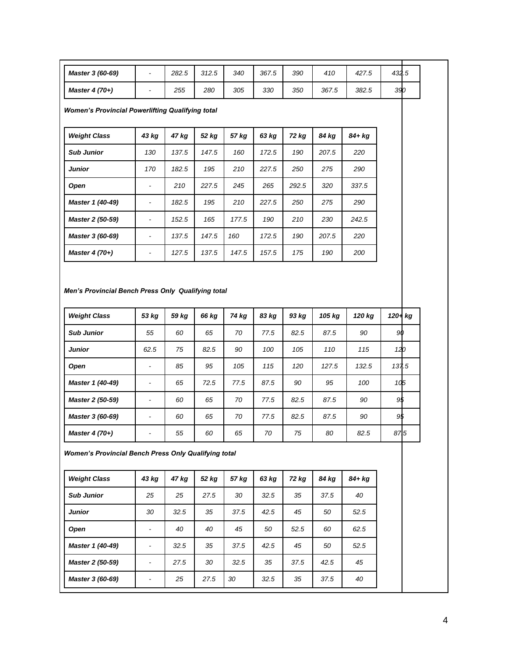| Master 3 (60-69)                                                          |                          | 282.5 | 312.5 | 340   | 367.5 | 390   | 410    | 427.5  | 432.5           |  |  |  |
|---------------------------------------------------------------------------|--------------------------|-------|-------|-------|-------|-------|--------|--------|-----------------|--|--|--|
| Master 4 (70+)                                                            | $\overline{\phantom{a}}$ | 255   | 280   | 305   | 330   | 350   | 367.5  | 382.5  | 390             |  |  |  |
| <b>Women's Provincial Powerlifting Qualifying total</b>                   |                          |       |       |       |       |       |        |        |                 |  |  |  |
| <b>Weight Class</b>                                                       | 43 kg                    | 47 kg | 52 kg | 57 kg | 63 kg | 72 kg | 84 kg  | 84+ kg |                 |  |  |  |
| <b>Sub Junior</b>                                                         | 130                      | 137.5 | 147.5 | 160   | 172.5 | 190   | 207.5  | 220    |                 |  |  |  |
| <b>Junior</b>                                                             | 170                      | 182.5 | 195   | 210   | 227.5 | 250   | 275    | 290    |                 |  |  |  |
| Open                                                                      | $\overline{a}$           | 210   | 227.5 | 245   | 265   | 292.5 | 320    | 337.5  |                 |  |  |  |
| Master 1 (40-49)                                                          | $\overline{a}$           | 182.5 | 195   | 210   | 227.5 | 250   | 275    | 290    |                 |  |  |  |
| Master 2 (50-59)                                                          | $\frac{1}{2}$            | 152.5 | 165   | 177.5 | 190   | 210   | 230    | 242.5  |                 |  |  |  |
| Master 3 (60-69)                                                          | $\overline{a}$           | 137.5 | 147.5 | 160   | 172.5 | 190   | 207.5  | 220    |                 |  |  |  |
| Master 4 (70+)                                                            | $\blacksquare$           | 127.5 | 137.5 | 147.5 | 157.5 | 175   | 190    | 200    |                 |  |  |  |
| Men's Provincial Bench Press Only Qualifying total<br><b>Weight Class</b> | 53 kg                    | 59 kg | 66 kg | 74 kg | 83 kg | 93 kg | 105 kg | 120 kg | 120+ kg         |  |  |  |
|                                                                           |                          |       |       |       |       |       |        |        |                 |  |  |  |
| <b>Sub Junior</b>                                                         | 55                       | 60    | 65    | 70    | 77.5  | 82.5  | 87.5   | 90     | 90              |  |  |  |
| <b>Junior</b>                                                             | 62.5                     | 75    | 82.5  | 90    | 100   | 105   | 110    | 115    | 120             |  |  |  |
| Open                                                                      | $\blacksquare$           | 85    | 95    | 105   | 115   | 120   | 127.5  | 132.5  | 137.5           |  |  |  |
| Master 1 (40-49)                                                          | $\overline{a}$           | 65    | 72.5  | 77.5  | 87.5  | 90    | 95     | 100    | 10 <sub>5</sub> |  |  |  |
| Master 2 (50-59)                                                          | L,                       | 60    | 65    | 70    | 77.5  | 82.5  | 87.5   | 90     | 95              |  |  |  |
| Master 3 (60-69)                                                          | $\overline{a}$           | 60    | 65    | 70    | 77.5  | 82.5  | 87.5   | 90     | 9\$             |  |  |  |
| Master 4 (70+)                                                            |                          | 55    | 60    | 65    | 70    | 75    | 80     | 82.5   | 875             |  |  |  |
| <b>Women's Provincial Bench Press Only Qualifying total</b>               |                          |       |       |       |       |       |        |        |                 |  |  |  |
| <b>Weight Class</b>                                                       | 43 kg                    | 47 kg | 52 kg | 57 kg | 63 kg | 72 kg | 84 kg  | 84+ kg |                 |  |  |  |
| <b>Sub Junior</b>                                                         | 25                       | 25    | 27.5  | 30    | 32.5  | 35    | 37.5   | 40     |                 |  |  |  |
| <b>Junior</b>                                                             | 30                       | 32.5  | 35    | 37.5  | 42.5  | 45    | 50     | 52.5   |                 |  |  |  |
| Open                                                                      | $\overline{a}$           | 40    | 40    | 45    | 50    | 52.5  | 60     | 62.5   |                 |  |  |  |
| Master 1 (40-49)                                                          | $\overline{\phantom{a}}$ | 32.5  | 35    | 37.5  | 42.5  | 45    | 50     | 52.5   |                 |  |  |  |
| Master 2 (50-59)                                                          | $\blacksquare$           | 27.5  | 30    | 32.5  | 35    | 37.5  | 42.5   | 45     |                 |  |  |  |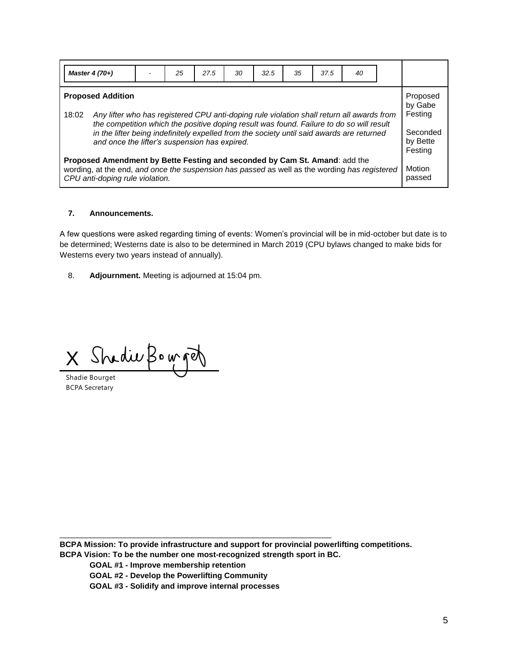| Master $4(70+)$                                                                                                                                                                                                                                                                                                                                                          |                                                                                                                                                                                                                | 25 | 27.5 | 30 | 32.5 | 35 | 37.5 | 40 |  |  |  |  |
|--------------------------------------------------------------------------------------------------------------------------------------------------------------------------------------------------------------------------------------------------------------------------------------------------------------------------------------------------------------------------|----------------------------------------------------------------------------------------------------------------------------------------------------------------------------------------------------------------|----|------|----|------|----|------|----|--|--|--|--|
| <b>Proposed Addition</b><br>18:02<br>Any lifter who has registered CPU anti-doping rule violation shall return all awards from<br>the competition which the positive doping result was found. Failure to do so will result<br>in the lifter being indefinitely expelled from the society until said awards are returned<br>and once the lifter's suspension has expired. |                                                                                                                                                                                                                |    |      |    |      |    |      |    |  |  |  |  |
|                                                                                                                                                                                                                                                                                                                                                                          | Proposed Amendment by Bette Festing and seconded by Cam St. Amand: add the<br>wording, at the end, and once the suspension has passed as well as the wording has registered<br>CPU anti-doping rule violation. |    |      |    |      |    |      |    |  |  |  |  |

### **7. Announcements.**

A few questions were asked regarding timing of events: Women's provincial will be in mid-october but date is to be determined; Westerns date is also to be determined in March 2019 (CPU bylaws changed to make bids for Westerns every two years instead of annually).

8. **Adjournment.** Meeting is adjourned at 15:04 pm.

X Shadie Bouget

Shadie Bourget BCPA Secretary

**BCPA Mission: To provide infrastructure and support for provincial powerlifting competitions.** 

**BCPA Vision: To be the number one most-recognized strength sport in BC.** 

\_\_\_\_\_\_\_\_\_\_\_\_\_\_\_\_\_\_\_\_\_\_\_\_\_\_\_\_\_\_\_\_\_\_\_\_\_\_\_\_\_\_\_\_\_\_\_\_\_\_\_\_\_\_\_\_\_\_\_\_\_\_

**GOAL #1 - Improve membership retention** 

**GOAL #2 - Develop the Powerlifting Community** 

**GOAL #3 - Solidify and improve internal processes**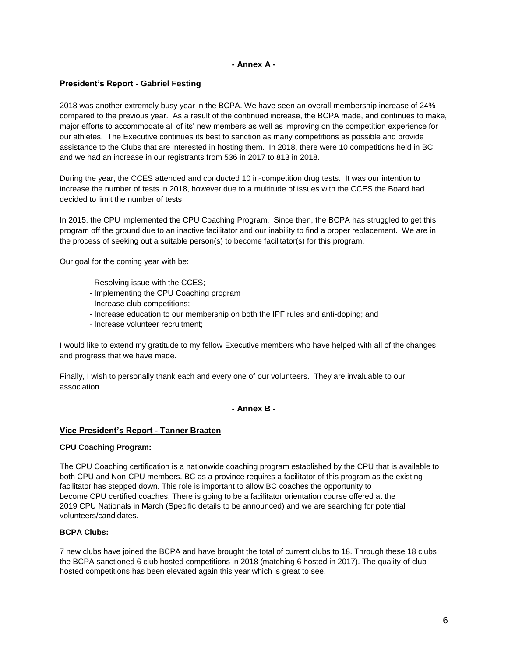### **- Annex A -**

### **President's Report - Gabriel Festing**

2018 was another extremely busy year in the BCPA. We have seen an overall membership increase of 24% compared to the previous year. As a result of the continued increase, the BCPA made, and continues to make, major efforts to accommodate all of its' new members as well as improving on the competition experience for our athletes. The Executive continues its best to sanction as many competitions as possible and provide assistance to the Clubs that are interested in hosting them. In 2018, there were 10 competitions held in BC and we had an increase in our registrants from 536 in 2017 to 813 in 2018.

During the year, the CCES attended and conducted 10 in-competition drug tests. It was our intention to increase the number of tests in 2018, however due to a multitude of issues with the CCES the Board had decided to limit the number of tests.

In 2015, the CPU implemented the CPU Coaching Program. Since then, the BCPA has struggled to get this program off the ground due to an inactive facilitator and our inability to find a proper replacement. We are in the process of seeking out a suitable person(s) to become facilitator(s) for this program.

Our goal for the coming year with be:

- Resolving issue with the CCES;
- Implementing the CPU Coaching program
- Increase club competitions;
- Increase education to our membership on both the IPF rules and anti-doping; and
- Increase volunteer recruitment;

I would like to extend my gratitude to my fellow Executive members who have helped with all of the changes and progress that we have made.

Finally, I wish to personally thank each and every one of our volunteers. They are invaluable to our association.

#### **- Annex B -**

#### **Vice President's Report - Tanner Braaten**

#### **CPU Coaching Program:**

The CPU Coaching certification is a nationwide coaching program established by the CPU that is available to both CPU and Non-CPU members. BC as a province requires a facilitator of this program as the existing facilitator has stepped down. This role is important to allow BC coaches the opportunity to become CPU certified coaches. There is going to be a facilitator orientation course offered at the 2019 CPU Nationals in March (Specific details to be announced) and we are searching for potential volunteers/candidates.

#### **BCPA Clubs:**

7 new clubs have joined the BCPA and have brought the total of current clubs to 18. Through these 18 clubs the BCPA sanctioned 6 club hosted competitions in 2018 (matching 6 hosted in 2017). The quality of club hosted competitions has been elevated again this year which is great to see.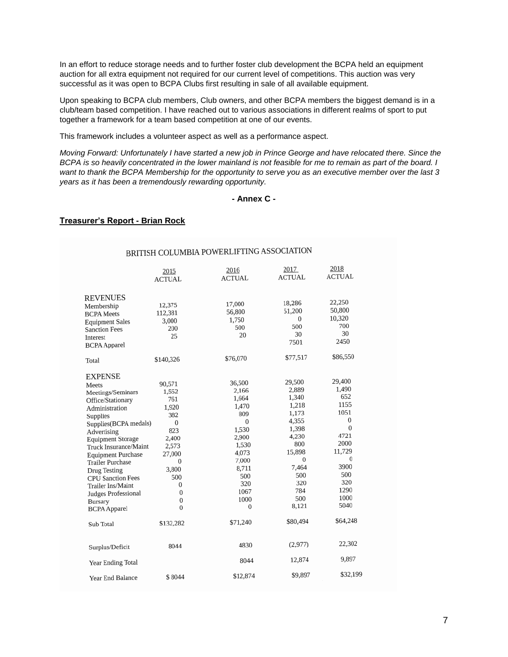In an effort to reduce storage needs and to further foster club development the BCPA held an equipment auction for all extra equipment not required for our current level of competitions. This auction was very successful as it was open to BCPA Clubs first resulting in sale of all available equipment.

Upon speaking to BCPA club members, Club owners, and other BCPA members the biggest demand is in a club/team based competition. I have reached out to various associations in different realms of sport to put together a framework for a team based competition at one of our events.

This framework includes a volunteer aspect as well as a performance aspect.

*Moving Forward: Unfortunately I have started a new job in Prince George and have relocated there. Since the BCPA is so heavily concentrated in the lower mainland is not feasible for me to remain as part of the board. I want to thank the BCPA Membership for the opportunity to serve you as an executive member over the last 3 years as it has been a tremendously rewarding opportunity.* 

## **- Annex C -**

### **Treasurer's Report - Brian Rock**

| BRITISH COLUMBIA POWERLIFTING ASSOCIATION                                                                                                                                                                                                                                                                                                                                      |                                                                                                                                                                        |                                                                                                                                                              |                                                                                                                                                  |                                                                                                                                             |  |  |  |  |  |
|--------------------------------------------------------------------------------------------------------------------------------------------------------------------------------------------------------------------------------------------------------------------------------------------------------------------------------------------------------------------------------|------------------------------------------------------------------------------------------------------------------------------------------------------------------------|--------------------------------------------------------------------------------------------------------------------------------------------------------------|--------------------------------------------------------------------------------------------------------------------------------------------------|---------------------------------------------------------------------------------------------------------------------------------------------|--|--|--|--|--|
|                                                                                                                                                                                                                                                                                                                                                                                | 2015<br><b>ACTUAL</b>                                                                                                                                                  | 2016<br><b>ACTUAL</b>                                                                                                                                        | 2017<br><b>ACTUAL</b>                                                                                                                            | 2018<br><b>ACTUAL</b>                                                                                                                       |  |  |  |  |  |
| <b>REVENUES</b><br>Membership<br><b>BCPA</b> Meets<br><b>Equipment Sales</b><br><b>Sanction Fees</b><br>Interest<br><b>BCPA</b> Apparel                                                                                                                                                                                                                                        | 12,375<br>112,381<br>3,000<br>200<br>25                                                                                                                                | 17,000<br>56,800<br>1,750<br>500<br>20                                                                                                                       | 18,286<br>51,200<br>0<br>500<br>30<br>7501                                                                                                       | 22,250<br>50,800<br>10,320<br>700<br>30<br>2450                                                                                             |  |  |  |  |  |
| Total                                                                                                                                                                                                                                                                                                                                                                          | \$140,326                                                                                                                                                              | \$76,070                                                                                                                                                     | \$77,517                                                                                                                                         | \$86,550                                                                                                                                    |  |  |  |  |  |
| <b>EXPENSE</b><br>Meets<br>Meetings/Seminars<br>Office/Stationary<br>Administration<br>Supplies<br>Supplies(BCPA medals)<br>Advertising<br><b>Equipment Storage</b><br>Truck Insurance/Maint<br><b>Equipment Purchase</b><br><b>Trailer Purchase</b><br>Drug Testing<br><b>CPU Sanction Fees</b><br>Trailer Ins/Maint<br>Judges Professional<br>Bursary<br><b>BCPA</b> Apparel | 90,571<br>1,552<br>761<br>1,920<br>382<br>$\mathbf 0$<br>823<br>2,400<br>2,573<br>27,000<br>$\bf{0}$<br>3,800<br>500<br>0<br>$\bf{0}$<br>$\mathbf 0$<br>$\overline{0}$ | 36,500<br>2,166<br>1,664<br>1,470<br>809<br>$\mathbf{0}$<br>1,530<br>2,900<br>1,530<br>4,073<br>7,000<br>8,711<br>500<br>320<br>1067<br>1000<br>$\mathbf{0}$ | 29,500<br>2,889<br>1,340<br>1,218<br>1,173<br>4,355<br>1,398<br>4,230<br>800<br>15,898<br>$\Omega$<br>7,464<br>500<br>320<br>784<br>500<br>8,121 | 29,400<br>1,490<br>652<br>1155<br>1051<br>0<br>$\bf{0}$<br>4721<br>2000<br>11,729<br>$\theta$<br>3900<br>500<br>320<br>1290<br>1000<br>5040 |  |  |  |  |  |
| Sub Total                                                                                                                                                                                                                                                                                                                                                                      | \$132,282                                                                                                                                                              | \$71,240                                                                                                                                                     | \$80,494                                                                                                                                         | \$64,248                                                                                                                                    |  |  |  |  |  |
| Surplus/Deficit<br>Year Ending Total                                                                                                                                                                                                                                                                                                                                           | 8044                                                                                                                                                                   | 4830<br>8044                                                                                                                                                 | (2, 977)<br>12,874                                                                                                                               | 22,302<br>9,897                                                                                                                             |  |  |  |  |  |
| Year End Balance                                                                                                                                                                                                                                                                                                                                                               | \$8044                                                                                                                                                                 | \$12,874                                                                                                                                                     | \$9,897                                                                                                                                          | \$32,199                                                                                                                                    |  |  |  |  |  |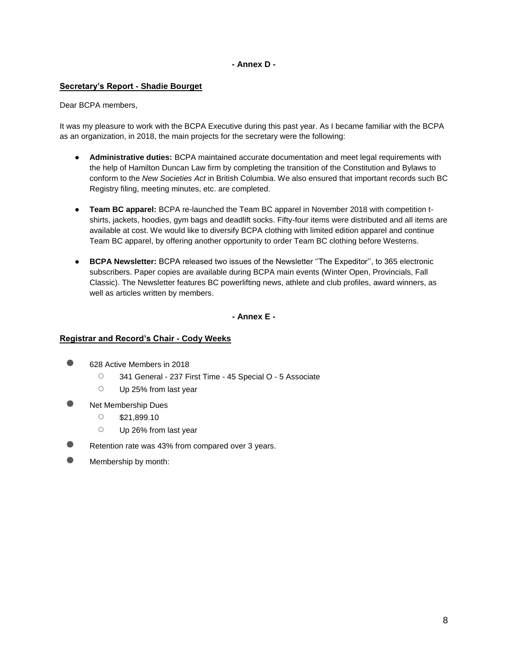## **- Annex D -**

### **Secretary's Report - Shadie Bourget**

#### Dear BCPA members,

It was my pleasure to work with the BCPA Executive during this past year. As I became familiar with the BCPA as an organization, in 2018, the main projects for the secretary were the following:

- **Administrative duties:** BCPA maintained accurate documentation and meet legal requirements with the help of Hamilton Duncan Law firm by completing the transition of the Constitution and Bylaws to conform to the *New Societies Act* in British Columbia. We also ensured that important records such BC Registry filing, meeting minutes, etc. are completed.
- **Team BC apparel:** BCPA re-launched the Team BC apparel in November 2018 with competition tshirts, jackets, hoodies, gym bags and deadlift socks. Fifty-four items were distributed and all items are available at cost. We would like to diversify BCPA clothing with limited edition apparel and continue Team BC apparel, by offering another opportunity to order Team BC clothing before Westerns.
- **BCPA Newsletter:** BCPA released two issues of the Newsletter ''The Expeditor'', to 365 electronic subscribers. Paper copies are available during BCPA main events (Winter Open, Provincials, Fall Classic). The Newsletter features BC powerlifting news, athlete and club profiles, award winners, as well as articles written by members.

**- Annex E -**

#### **Registrar and Record's Chair - Cody Weeks**

- 628 Active Members in 2018
	- 341 General 237 First Time 45 Special O 5 Associate
	- Up 25% from last year
- **Net Membership Dues** 
	- \$21,899.10
	- Up 26% from last year
- Retention rate was 43% from compared over 3 years.
- Membership by month: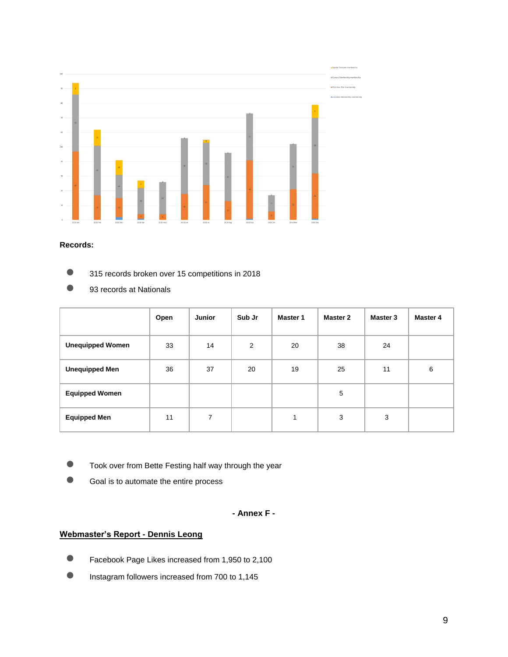

#### **Records:**

- **•** 315 records broken over 15 competitions in 2018
- 93 records at Nationals

|                         | Open | <b>Junior</b> | Sub Jr | <b>Master 1</b> | Master 2 | Master 3 | Master 4 |
|-------------------------|------|---------------|--------|-----------------|----------|----------|----------|
| <b>Unequipped Women</b> | 33   | 14            | 2      | 20              | 38       | 24       |          |
| <b>Unequipped Men</b>   | 36   | 37            | 20     | 19              | 25       | 11       | 6        |
| <b>Equipped Women</b>   |      |               |        |                 | 5        |          |          |
| <b>Equipped Men</b>     | 11   | 7             |        | 1               | 3        | 3        |          |

- **C** Took over from Bette Festing half way through the year
- Goal is to automate the entire process

## **- Annex F -**

## **Webmaster's Report - Dennis Leong**

- Facebook Page Likes increased from 1,950 to 2,100
- Instagram followers increased from 700 to 1,145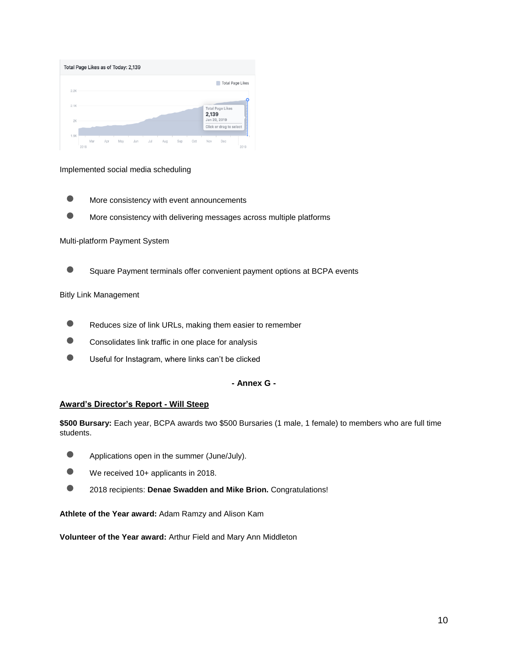| Total Page Likes as of Today: 2,139 |      |     |     |     |     |     |     |     |     |                       |                         |                         |
|-------------------------------------|------|-----|-----|-----|-----|-----|-----|-----|-----|-----------------------|-------------------------|-------------------------|
| 2.2K                                |      |     |     |     |     |     |     |     |     |                       |                         | <b>Total Page Likes</b> |
| 2.1K                                |      |     |     |     |     |     |     |     |     |                       |                         |                         |
| 2K                                  |      |     |     |     |     |     |     |     |     | 2,139<br>Jan 20, 2019 | <b>Total Page Likes</b> |                         |
| 1.9K                                |      |     |     |     |     |     |     |     |     |                       | Click or drag to select |                         |
|                                     | 2018 | Mar | Apr | May | Jun | Jul | Aug | Sep | Oct | Nov                   | Dec                     | 2019                    |

Implemented social media scheduling

- **More consistency with event announcements**
- More consistency with delivering messages across multiple platforms

#### Multi-platform Payment System

● Square Payment terminals offer convenient payment options at BCPA events

#### Bitly Link Management

- Reduces size of link URLs, making them easier to remember
- Consolidates link traffic in one place for analysis
- **O** Useful for Instagram, where links can't be clicked

## **- Annex G -**

#### **Award's Director's Report - Will Steep**

**\$500 Bursary:** Each year, BCPA awards two \$500 Bursaries (1 male, 1 female) to members who are full time students.

- Applications open in the summer (June/July).
- We received 10+ applicants in 2018.
- 2018 recipients: **Denae Swadden and Mike Brion.** Congratulations!

**Athlete of the Year award:** Adam Ramzy and Alison Kam

**Volunteer of the Year award:** Arthur Field and Mary Ann Middleton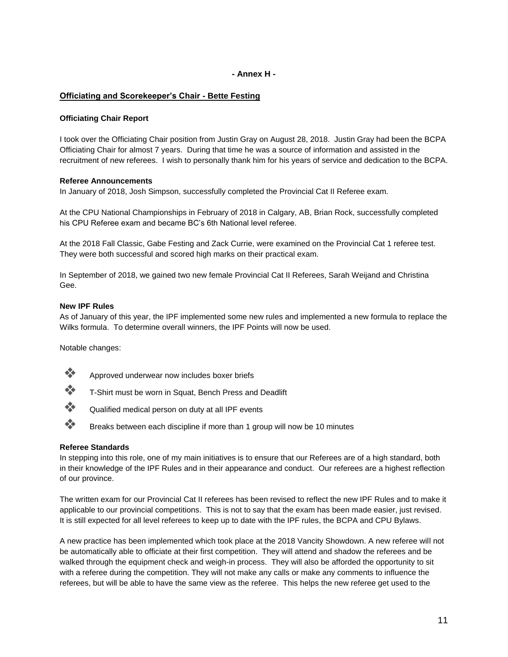## **- Annex H -**

## **Officiating and Scorekeeper's Chair - Bette Festing**

## **Officiating Chair Report**

I took over the Officiating Chair position from Justin Gray on August 28, 2018. Justin Gray had been the BCPA Officiating Chair for almost 7 years. During that time he was a source of information and assisted in the recruitment of new referees. I wish to personally thank him for his years of service and dedication to the BCPA.

### **Referee Announcements**

In January of 2018, Josh Simpson, successfully completed the Provincial Cat II Referee exam.

At the CPU National Championships in February of 2018 in Calgary, AB, Brian Rock, successfully completed his CPU Referee exam and became BC's 6th National level referee.

At the 2018 Fall Classic, Gabe Festing and Zack Currie, were examined on the Provincial Cat 1 referee test. They were both successful and scored high marks on their practical exam.

In September of 2018, we gained two new female Provincial Cat II Referees, Sarah Weijand and Christina Gee.

#### **New IPF Rules**

As of January of this year, the IPF implemented some new rules and implemented a new formula to replace the Wilks formula. To determine overall winners, the IPF Points will now be used.

Notable changes:



- ❖ Approved underwear now includes boxer briefs
- ❖ T-Shirt must be worn in Squat, Bench Press and Deadlift
- ❖ Qualified medical person on duty at all IPF events
- ❖ Breaks between each discipline if more than 1 group will now be 10 minutes

#### **Referee Standards**

In stepping into this role, one of my main initiatives is to ensure that our Referees are of a high standard, both in their knowledge of the IPF Rules and in their appearance and conduct. Our referees are a highest reflection of our province.

The written exam for our Provincial Cat II referees has been revised to reflect the new IPF Rules and to make it applicable to our provincial competitions. This is not to say that the exam has been made easier, just revised. It is still expected for all level referees to keep up to date with the IPF rules, the BCPA and CPU Bylaws.

A new practice has been implemented which took place at the 2018 Vancity Showdown. A new referee will not be automatically able to officiate at their first competition. They will attend and shadow the referees and be walked through the equipment check and weigh-in process. They will also be afforded the opportunity to sit with a referee during the competition. They will not make any calls or make any comments to influence the referees, but will be able to have the same view as the referee. This helps the new referee get used to the